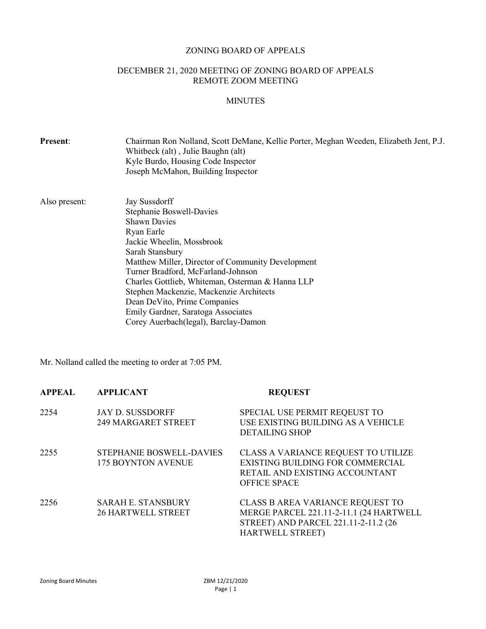#### ZONING BOARD OF APPEALS

## DECEMBER 21, 2020 MEETING OF ZONING BOARD OF APPEALS REMOTE ZOOM MEETING

## MINUTES

| Chairman Ron Nolland, Scott DeMane, Kellie Porter, Meghan Weeden, Elizabeth Jent, P.J.<br>Whitbeck (alt), Julie Baughn (alt)<br>Kyle Burdo, Housing Code Inspector<br>Joseph McMahon, Building Inspector                                                                                                                                                                                                                               |  |
|----------------------------------------------------------------------------------------------------------------------------------------------------------------------------------------------------------------------------------------------------------------------------------------------------------------------------------------------------------------------------------------------------------------------------------------|--|
| Jay Sussdorff<br>Stephanie Boswell-Davies<br><b>Shawn Davies</b><br>Ryan Earle<br>Jackie Wheelin, Mossbrook<br>Sarah Stansbury<br>Matthew Miller, Director of Community Development<br>Turner Bradford, McFarland-Johnson<br>Charles Gottlieb, Whiteman, Osterman & Hanna LLP<br>Stephen Mackenzie, Mackenzie Architects<br>Dean DeVito, Prime Companies<br>Emily Gardner, Saratoga Associates<br>Corey Auerbach(legal), Barclay-Damon |  |
|                                                                                                                                                                                                                                                                                                                                                                                                                                        |  |

Mr. Nolland called the meeting to order at 7:05 PM.

| APPEAL | <b>APPLICANT</b>                                             | <b>REQUEST</b>                                                                                                                                 |
|--------|--------------------------------------------------------------|------------------------------------------------------------------------------------------------------------------------------------------------|
| 2254   | <b>JAY D. SUSSDORFF</b><br><b>249 MARGARET STREET</b>        | SPECIAL USE PERMIT REQEUST TO<br>USE EXISTING BUILDING AS A VEHICLE<br><b>DETAILING SHOP</b>                                                   |
| 2255   | <b>STEPHANIE BOSWELL-DAVIES</b><br><b>175 BOYNTON AVENUE</b> | CLASS A VARIANCE REQUEST TO UTILIZE<br>EXISTING BUILDING FOR COMMERCIAL<br>RETAIL AND EXISTING ACCOUNTANT<br><b>OFFICE SPACE</b>               |
| 2256   | <b>SARAH E. STANSBURY</b><br><b>26 HARTWELL STREET</b>       | CLASS B AREA VARIANCE REQUEST TO<br>MERGE PARCEL 221.11-2-11.1 (24 HARTWELL<br>STREET) AND PARCEL 221.11-2-11.2 (26<br><b>HARTWELL STREET)</b> |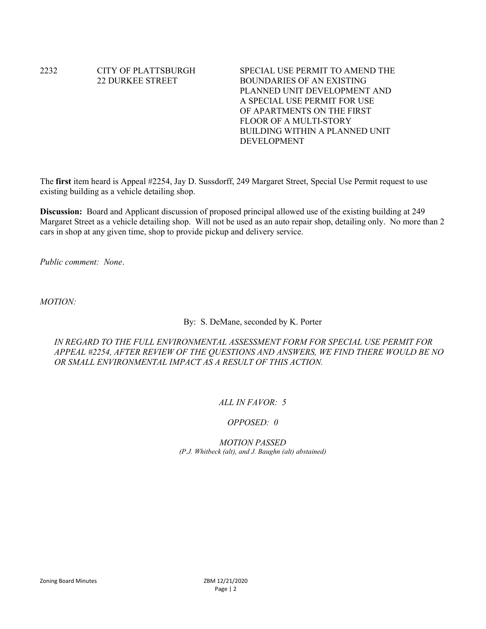# 2232 CITY OF PLATTSBURGH SPECIAL USE PERMIT TO AMEND THE

22 DURKEE STREET BOUNDARIES OF AN EXISTING PLANNED UNIT DEVELOPMENT AND A SPECIAL USE PERMIT FOR USE OF APARTMENTS ON THE FIRST FLOOR OF A MULTI-STORY BUILDING WITHIN A PLANNED UNIT DEVELOPMENT

The first item heard is Appeal #2254, Jay D. Sussdorff, 249 Margaret Street, Special Use Permit request to use existing building as a vehicle detailing shop.

Discussion: Board and Applicant discussion of proposed principal allowed use of the existing building at 249 Margaret Street as a vehicle detailing shop. Will not be used as an auto repair shop, detailing only. No more than 2 cars in shop at any given time, shop to provide pickup and delivery service.

Public comment: None.

MOTION:

By: S. DeMane, seconded by K. Porter

IN REGARD TO THE FULL ENVIRONMENTAL ASSESSMENT FORM FOR SPECIAL USE PERMIT FOR APPEAL #2254, AFTER REVIEW OF THE QUESTIONS AND ANSWERS, WE FIND THERE WOULD BE NO OR SMALL ENVIRONMENTAL IMPACT AS A RESULT OF THIS ACTION.

## ALL IN FAVOR: 5

#### OPPOSED: 0

MOTION PASSED (P.J. Whitbeck (alt), and J. Baughn (alt) abstained)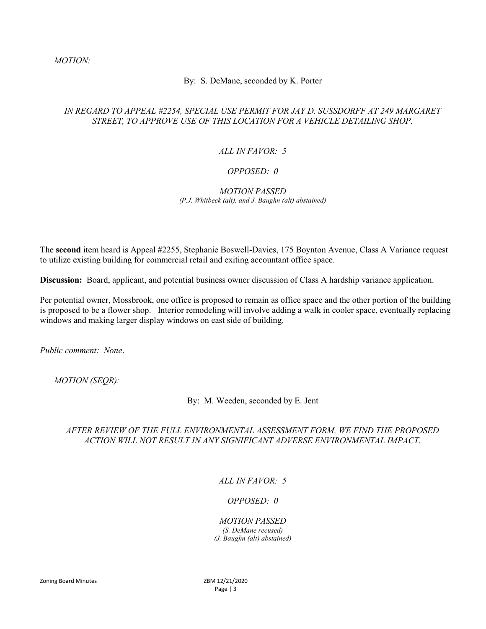#### By: S. DeMane, seconded by K. Porter

## IN REGARD TO APPEAL #2254, SPECIAL USE PERMIT FOR JAY D. SUSSDORFF AT 249 MARGARET STREET, TO APPROVE USE OF THIS LOCATION FOR A VEHICLE DETAILING SHOP.

#### ALL IN FAVOR: 5

#### OPPOSED: 0

#### MOTION PASSED (P.J. Whitbeck (alt), and J. Baughn (alt) abstained)

The second item heard is Appeal #2255, Stephanie Boswell-Davies, 175 Boynton Avenue, Class A Variance request to utilize existing building for commercial retail and exiting accountant office space.

Discussion: Board, applicant, and potential business owner discussion of Class A hardship variance application.

Per potential owner, Mossbrook, one office is proposed to remain as office space and the other portion of the building is proposed to be a flower shop. Interior remodeling will involve adding a walk in cooler space, eventually replacing windows and making larger display windows on east side of building.

Public comment: None.

MOTION (SEQR):

By: M. Weeden, seconded by E. Jent

## AFTER REVIEW OF THE FULL ENVIRONMENTAL ASSESSMENT FORM, WE FIND THE PROPOSED ACTION WILL NOT RESULT IN ANY SIGNIFICANT ADVERSE ENVIRONMENTAL IMPACT.

## ALL IN FAVOR: 5

## OPPOSED: 0

### MOTION PASSED (S. DeMane recused)

(J. Baughn (alt) abstained)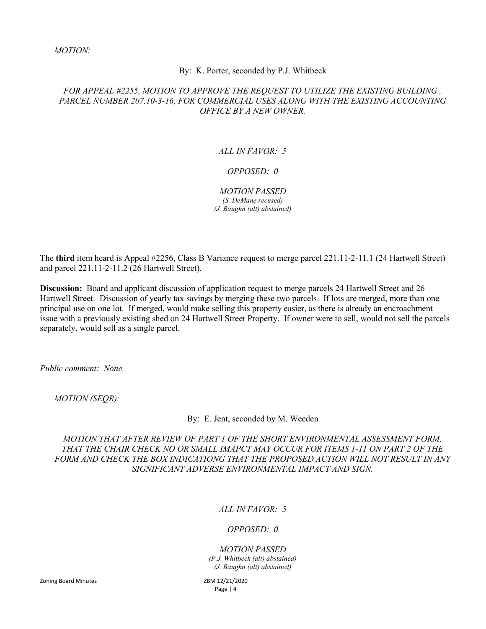#### By: K. Porter, seconded by P.J. Whitbeck

#### FOR APPEAL #2255, MOTION TO APPROVE THE REQUEST TO UTILIZE THE EXISTING BUILDING , PARCEL NUMBER 207.10-3-16, FOR COMMERCIAL USES ALONG WITH THE EXISTING ACCOUNTING OFFICE BY A NEW OWNER.

#### ALL IN FAVOR: 5

#### OPPOSED: 0

# MOTION PASSED

(S. DeMane recused) (J. Baughn (alt) abstained)

The third item heard is Appeal #2256, Class B Variance request to merge parcel 221.11-2-11.1 (24 Hartwell Street) and parcel 221.11-2-11.2 (26 Hartwell Street).

Discussion: Board and applicant discussion of application request to merge parcels 24 Hartwell Street and 26 Hartwell Street. Discussion of yearly tax savings by merging these two parcels. If lots are merged, more than one principal use on one lot. If merged, would make selling this property easier, as there is already an encroachment issue with a previously existing shed on 24 Hartwell Street Property. If owner were to sell, would not sell the parcels separately, would sell as a single parcel.

Public comment: None.

MOTION (SEQR):

By: E. Jent, seconded by M. Weeden

MOTION THAT AFTER REVIEW OF PART 1 OF THE SHORT ENVIRONMENTAL ASSESSMENT FORM, THAT THE CHAIR CHECK NO OR SMALL IMAPCT MAY OCCUR FOR ITEMS 1-11 ON PART 2 OF THE FORM AND CHECK THE BOX INDICATIONG THAT THE PROPOSED ACTION WILL NOT RESULT IN ANY SIGNIFICANT ADVERSE ENVIRONMENTAL IMPACT AND SIGN.

## ALL IN FAVOR: 5

#### OPPOSED: 0

# MOTION PASSED

(P.J. Whitbeck (alt) abstained) (J. Baughn (alt) abstained)

Page | 4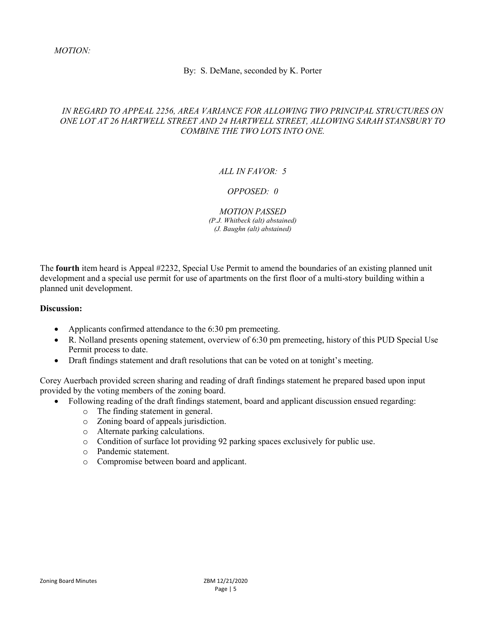#### By: S. DeMane, seconded by K. Porter

## IN REGARD TO APPEAL 2256, AREA VARIANCE FOR ALLOWING TWO PRINCIPAL STRUCTURES ON ONE LOT AT 26 HARTWELL STREET AND 24 HARTWELL STREET, ALLOWING SARAH STANSBURY TO COMBINE THE TWO LOTS INTO ONE.

## ALL IN FAVOR: 5

## OPPOSED: 0

MOTION PASSED (P.J. Whitbeck (alt) abstained) (J. Baughn (alt) abstained)

The fourth item heard is Appeal #2232, Special Use Permit to amend the boundaries of an existing planned unit development and a special use permit for use of apartments on the first floor of a multi-story building within a planned unit development.

#### Discussion:

- Applicants confirmed attendance to the 6:30 pm premeeting.
- R. Nolland presents opening statement, overview of 6:30 pm premeeting, history of this PUD Special Use Permit process to date.
- Draft findings statement and draft resolutions that can be voted on at tonight's meeting.

Corey Auerbach provided screen sharing and reading of draft findings statement he prepared based upon input provided by the voting members of the zoning board.

- Following reading of the draft findings statement, board and applicant discussion ensued regarding:
	- o The finding statement in general.
	- o Zoning board of appeals jurisdiction.
	- o Alternate parking calculations.
	- o Condition of surface lot providing 92 parking spaces exclusively for public use.
	- o Pandemic statement.
	- o Compromise between board and applicant.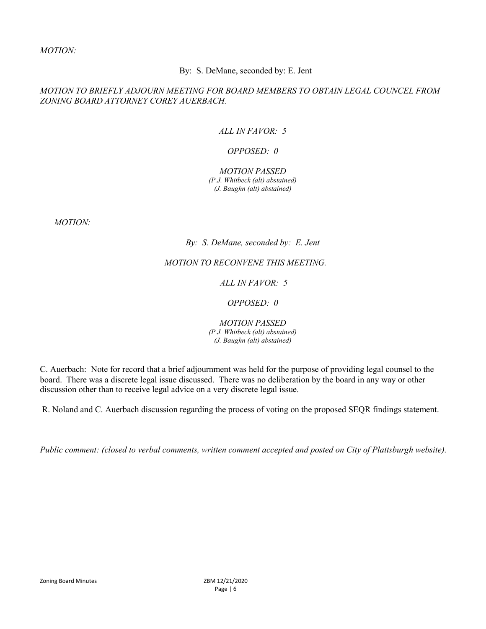#### By: S. DeMane, seconded by: E. Jent

#### MOTION TO BRIEFLY ADJOURN MEETING FOR BOARD MEMBERS TO OBTAIN LEGAL COUNCEL FROM ZONING BOARD ATTORNEY COREY AUERBACH.

## ALL IN FAVOR: 5

#### OPPOSED: 0

#### MOTION PASSED (P.J. Whitbeck (alt) abstained) (J. Baughn (alt) abstained)

MOTION:

#### By: S. DeMane, seconded by: E. Jent

## MOTION TO RECONVENE THIS MEETING.

## ALL IN FAVOR: 5

#### OPPOSED: 0

MOTION PASSED (P.J. Whitbeck (alt) abstained) (J. Baughn (alt) abstained)

C. Auerbach: Note for record that a brief adjournment was held for the purpose of providing legal counsel to the board. There was a discrete legal issue discussed. There was no deliberation by the board in any way or other discussion other than to receive legal advice on a very discrete legal issue.

R. Noland and C. Auerbach discussion regarding the process of voting on the proposed SEQR findings statement.

Public comment: (closed to verbal comments, written comment accepted and posted on City of Plattsburgh website).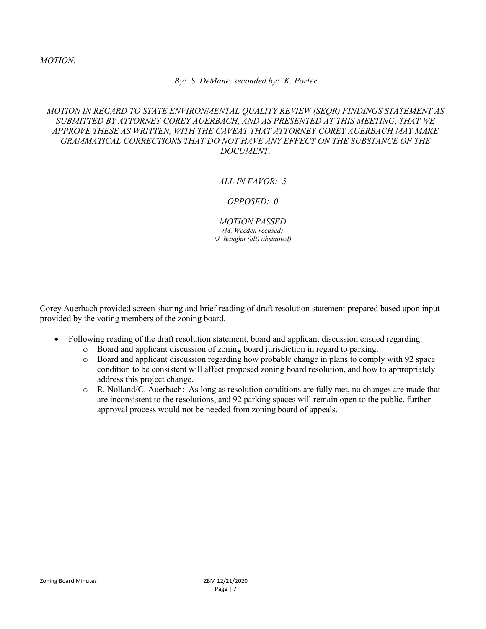#### By: S. DeMane, seconded by: K. Porter

## MOTION IN REGARD TO STATE ENVIRONMENTAL QUALITY REVIEW (SEQR) FINDINGS STATEMENT AS SUBMITTED BY ATTORNEY COREY AUERBACH, AND AS PRESENTED AT THIS MEETING, THAT WE APPROVE THESE AS WRITTEN, WITH THE CAVEAT THAT ATTORNEY COREY AUERBACH MAY MAKE GRAMMATICAL CORRECTIONS THAT DO NOT HAVE ANY EFFECT ON THE SUBSTANCE OF THE DOCUMENT.

## ALL IN  $FAVOR \cdot 5$

#### OPPOSED: 0

MOTION PASSED (M. Weeden recused) (J. Baughn (alt) abstained)

Corey Auerbach provided screen sharing and brief reading of draft resolution statement prepared based upon input provided by the voting members of the zoning board.

- Following reading of the draft resolution statement, board and applicant discussion ensued regarding:
	- o Board and applicant discussion of zoning board jurisdiction in regard to parking.
	- o Board and applicant discussion regarding how probable change in plans to comply with 92 space condition to be consistent will affect proposed zoning board resolution, and how to appropriately address this project change.
	- o R. Nolland/C. Auerbach: As long as resolution conditions are fully met, no changes are made that are inconsistent to the resolutions, and 92 parking spaces will remain open to the public, further approval process would not be needed from zoning board of appeals.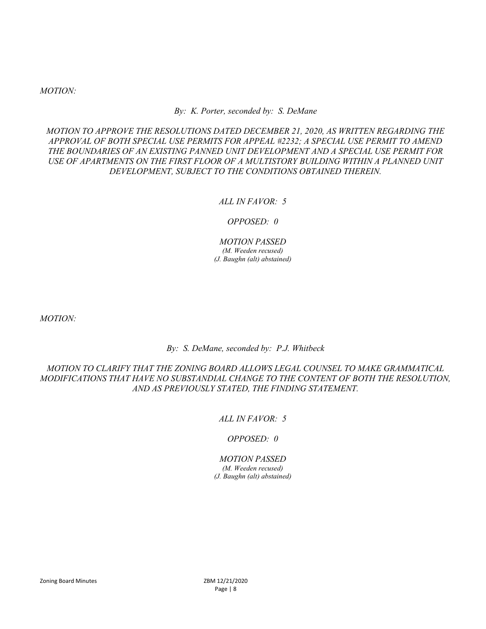#### By: K. Porter, seconded by: S. DeMane

MOTION TO APPROVE THE RESOLUTIONS DATED DECEMBER 21, 2020, AS WRITTEN REGARDING THE APPROVAL OF BOTH SPECIAL USE PERMITS FOR APPEAL #2232; A SPECIAL USE PERMIT TO AMEND THE BOUNDARIES OF AN EXISTING PANNED UNIT DEVELOPMENT AND A SPECIAL USE PERMIT FOR USE OF APARTMENTS ON THE FIRST FLOOR OF A MULTISTORY BUILDING WITHIN A PLANNED UNIT DEVELOPMENT, SUBJECT TO THE CONDITIONS OBTAINED THEREIN.

#### ALL IN FAVOR: 5

OPPOSED: 0

MOTION PASSED (M. Weeden recused) (J. Baughn (alt) abstained)

MOTION:

By: S. DeMane, seconded by: P.J. Whitbeck

MOTION TO CLARIFY THAT THE ZONING BOARD ALLOWS LEGAL COUNSEL TO MAKE GRAMMATICAL MODIFICATIONS THAT HAVE NO SUBSTANDIAL CHANGE TO THE CONTENT OF BOTH THE RESOLUTION, AND AS PREVIOUSLY STATED, THE FINDING STATEMENT.

## ALL IN FAVOR: 5

#### OPPOSED: 0

#### MOTION PASSED (M. Weeden recused)

(J. Baughn (alt) abstained)